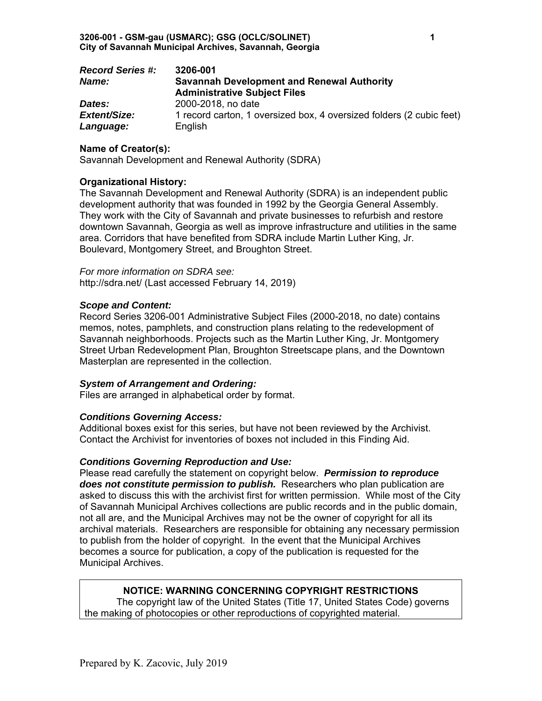| <b>Record Series #:</b> | 3206-001                                                             |
|-------------------------|----------------------------------------------------------------------|
| Name:                   | <b>Savannah Development and Renewal Authority</b>                    |
|                         | <b>Administrative Subject Files</b>                                  |
| Dates:                  | 2000-2018, no date                                                   |
| Extent/Size:            | 1 record carton, 1 oversized box, 4 oversized folders (2 cubic feet) |
| Language:               | English                                                              |

### **Name of Creator(s):**

Savannah Development and Renewal Authority (SDRA)

#### **Organizational History:**

The Savannah Development and Renewal Authority (SDRA) is an independent public development authority that was founded in 1992 by the Georgia General Assembly. They work with the City of Savannah and private businesses to refurbish and restore downtown Savannah, Georgia as well as improve infrastructure and utilities in the same area. Corridors that have benefited from SDRA include Martin Luther King, Jr. Boulevard, Montgomery Street, and Broughton Street.

*For more information on SDRA see:*  http://sdra.net/ (Last accessed February 14, 2019)

#### *Scope and Content:*

Record Series 3206-001 Administrative Subject Files (2000-2018, no date) contains memos, notes, pamphlets, and construction plans relating to the redevelopment of Savannah neighborhoods. Projects such as the Martin Luther King, Jr. Montgomery Street Urban Redevelopment Plan, Broughton Streetscape plans, and the Downtown Masterplan are represented in the collection.

#### *System of Arrangement and Ordering:*

Files are arranged in alphabetical order by format.

# *Conditions Governing Access:*

Additional boxes exist for this series, but have not been reviewed by the Archivist. Contact the Archivist for inventories of boxes not included in this Finding Aid.

#### *Conditions Governing Reproduction and Use:*

Please read carefully the statement on copyright below. *Permission to reproduce does not constitute permission to publish.* Researchers who plan publication are asked to discuss this with the archivist first for written permission. While most of the City of Savannah Municipal Archives collections are public records and in the public domain, not all are, and the Municipal Archives may not be the owner of copyright for all its archival materials. Researchers are responsible for obtaining any necessary permission to publish from the holder of copyright. In the event that the Municipal Archives becomes a source for publication, a copy of the publication is requested for the Municipal Archives.

# **NOTICE: WARNING CONCERNING COPYRIGHT RESTRICTIONS**

The copyright law of the United States (Title 17, United States Code) governs the making of photocopies or other reproductions of copyrighted material.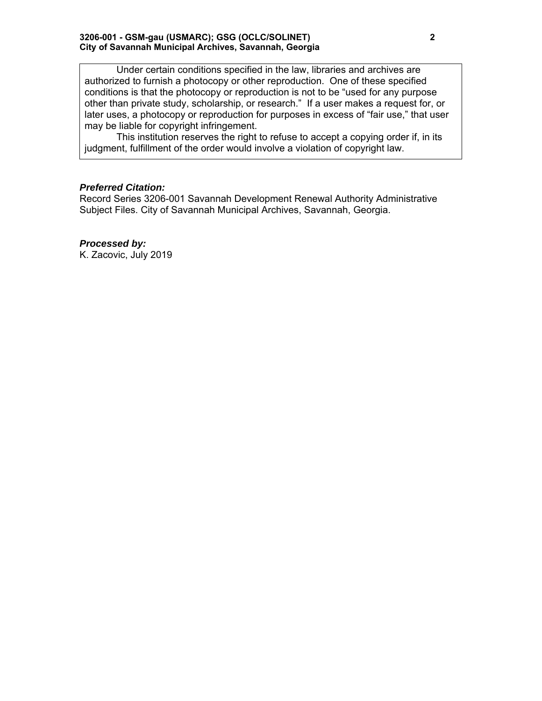Under certain conditions specified in the law, libraries and archives are authorized to furnish a photocopy or other reproduction. One of these specified conditions is that the photocopy or reproduction is not to be "used for any purpose other than private study, scholarship, or research." If a user makes a request for, or later uses, a photocopy or reproduction for purposes in excess of "fair use," that user may be liable for copyright infringement.

This institution reserves the right to refuse to accept a copying order if, in its judgment, fulfillment of the order would involve a violation of copyright law.

# *Preferred Citation:*

Record Series 3206-001 Savannah Development Renewal Authority Administrative Subject Files. City of Savannah Municipal Archives, Savannah, Georgia.

# *Processed by:*

K. Zacovic, July 2019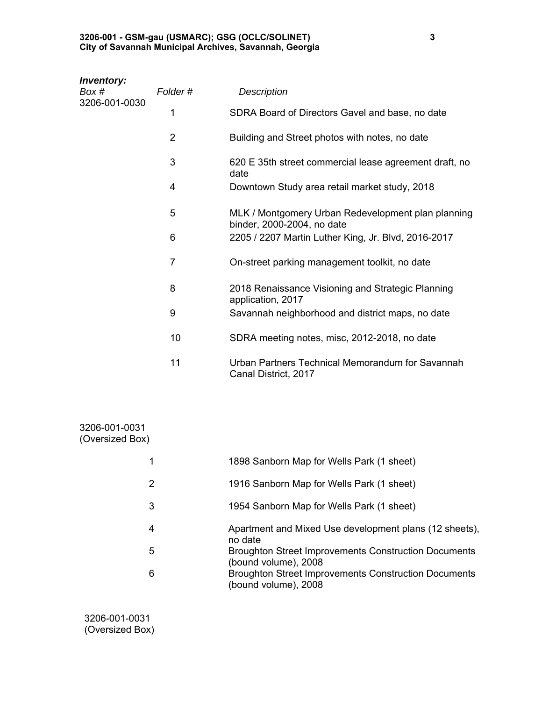#### **3206-001 - GSM-gau (USMARC); GSG (OCLC/SOLINET) 3 City of Savannah Municipal Archives, Savannah, Georgia**

| <b>Inventory:</b><br>Box #<br>3206-001-0030 | Folder#        | <b>Description</b>                                                               |
|---------------------------------------------|----------------|----------------------------------------------------------------------------------|
|                                             | 1              | SDRA Board of Directors Gavel and base, no date                                  |
|                                             | $\overline{2}$ | Building and Street photos with notes, no date                                   |
|                                             | 3              | 620 E 35th street commercial lease agreement draft, no<br>date                   |
|                                             | 4              | Downtown Study area retail market study, 2018                                    |
|                                             | 5              | MLK / Montgomery Urban Redevelopment plan planning<br>binder, 2000-2004, no date |
|                                             | 6              | 2205 / 2207 Martin Luther King, Jr. Blvd, 2016-2017                              |
|                                             | $\overline{7}$ | On-street parking management toolkit, no date                                    |
|                                             | 8              | 2018 Renaissance Visioning and Strategic Planning<br>application, 2017           |
|                                             | 9              | Savannah neighborhood and district maps, no date                                 |
|                                             | 10             | SDRA meeting notes, misc, 2012-2018, no date                                     |
|                                             | 11             | Urban Partners Technical Memorandum for Savannah<br>Canal District, 2017         |
|                                             |                |                                                                                  |

| 3206-001-0031<br>(Oversized Box) |                                                                                     |
|----------------------------------|-------------------------------------------------------------------------------------|
|                                  | 1898 Sanborn Map for Wells Park (1 sheet)                                           |
| 2                                | 1916 Sanborn Map for Wells Park (1 sheet)                                           |
| 3                                | 1954 Sanborn Map for Wells Park (1 sheet)                                           |
| 4                                | Apartment and Mixed Use development plans (12 sheets),<br>no date                   |
| 5                                | <b>Broughton Street Improvements Construction Documents</b><br>(bound volume), 2008 |
| 6                                | <b>Broughton Street Improvements Construction Documents</b><br>(bound volume), 2008 |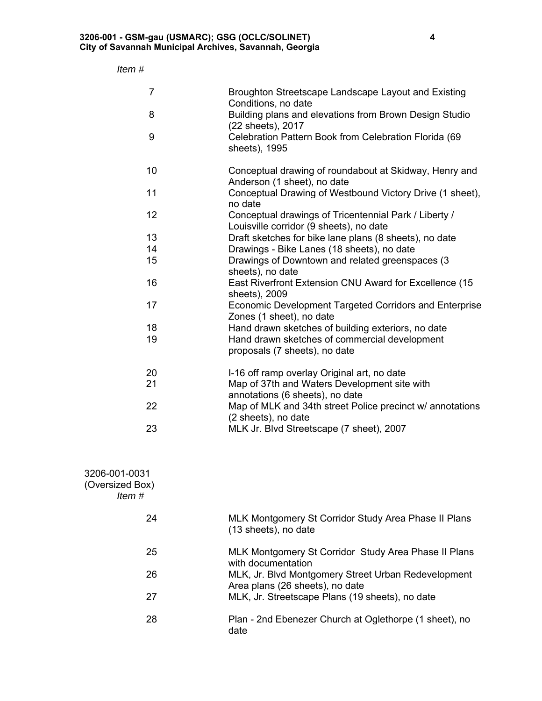# *Item #*

| $\overline{7}$ | Broughton Streetscape Landscape Layout and Existing<br>Conditions, no date                       |
|----------------|--------------------------------------------------------------------------------------------------|
| 8              | Building plans and elevations from Brown Design Studio<br>(22 sheets), 2017                      |
| 9              | Celebration Pattern Book from Celebration Florida (69<br>sheets), 1995                           |
| 10             | Conceptual drawing of roundabout at Skidway, Henry and<br>Anderson (1 sheet), no date            |
| 11             | Conceptual Drawing of Westbound Victory Drive (1 sheet),<br>no date                              |
| 12             | Conceptual drawings of Tricentennial Park / Liberty /<br>Louisville corridor (9 sheets), no date |
| 13             | Draft sketches for bike lane plans (8 sheets), no date                                           |
| 14             | Drawings - Bike Lanes (18 sheets), no date                                                       |
| 15             | Drawings of Downtown and related greenspaces (3<br>sheets), no date                              |
| 16             | East Riverfront Extension CNU Award for Excellence (15<br>sheets), 2009                          |
| 17             | Economic Development Targeted Corridors and Enterprise<br>Zones (1 sheet), no date               |
| 18             | Hand drawn sketches of building exteriors, no date                                               |
| 19             | Hand drawn sketches of commercial development<br>proposals (7 sheets), no date                   |
| 20             | I-16 off ramp overlay Original art, no date                                                      |
| 21             | Map of 37th and Waters Development site with<br>annotations (6 sheets), no date                  |
| 22             | Map of MLK and 34th street Police precinct w/ annotations<br>(2 sheets), no date                 |
| 23             | MLK Jr. Blvd Streetscape (7 sheet), 2007                                                         |

| 3206-001-0031   |
|-----------------|
| (Oversized Box) |
| ltem #          |

| 24  | MLK Montgomery St Corridor Study Area Phase II Plans<br>(13 sheets), no date           |
|-----|----------------------------------------------------------------------------------------|
| -25 | MLK Montgomery St Corridor Study Area Phase II Plans<br>with documentation             |
| 26  | MLK, Jr. Blvd Montgomery Street Urban Redevelopment<br>Area plans (26 sheets), no date |
| 27  | MLK, Jr. Streetscape Plans (19 sheets), no date                                        |
| -28 | Plan - 2nd Ebenezer Church at Oglethorpe (1 sheet), no<br>date                         |